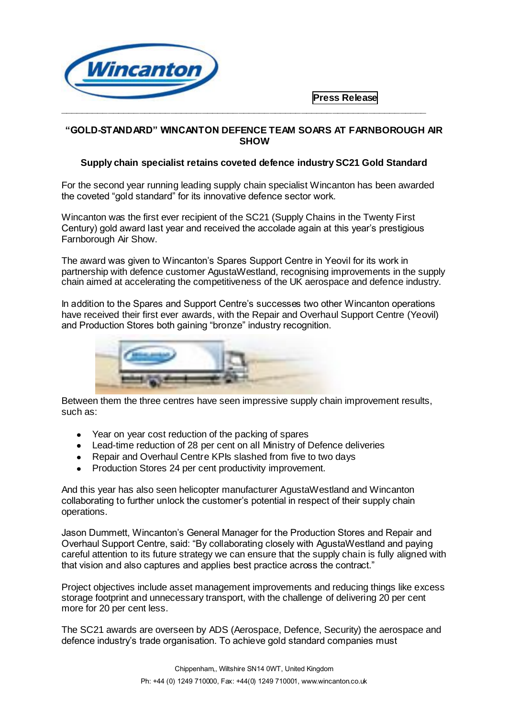

 **Press Release**

# **"GOLD-STANDARD" WINCANTON DEFENCE TEAM SOARS AT FARNBOROUGH AIR SHOW**

**\_\_\_\_\_\_\_\_\_\_\_\_\_\_\_\_\_\_\_\_\_\_\_\_\_\_\_\_\_\_\_\_\_\_\_\_\_\_\_\_\_\_\_\_\_\_\_\_\_\_\_\_\_\_\_\_\_\_\_\_\_\_\_\_\_\_\_\_\_\_**

# **Supply chain specialist retains coveted defence industry SC21 Gold Standard**

For the second year running leading supply chain specialist Wincanton has been awarded the coveted "gold standard" for its innovative defence sector work.

Wincanton was the first ever recipient of the SC21 (Supply Chains in the Twenty First Century) gold award last year and received the accolade again at this year's prestigious Farnborough Air Show.

The award was given to Wincanton's Spares Support Centre in Yeovil for its work in partnership with defence customer AgustaWestland, recognising improvements in the supply chain aimed at accelerating the competitiveness of the UK aerospace and defence industry.

In addition to the Spares and Support Centre's successes two other Wincanton operations have received their first ever awards, with the Repair and Overhaul Support Centre (Yeovil) and Production Stores both gaining "bronze" industry recognition.



Between them the three centres have seen impressive supply chain improvement results, such as:

- Year on year cost reduction of the packing of spares
- Lead-time reduction of 28 per cent on all Ministry of Defence deliveries
- Repair and Overhaul Centre KPIs slashed from five to two days
- Production Stores 24 per cent productivity improvement.

And this year has also seen helicopter manufacturer AgustaWestland and Wincanton collaborating to further unlock the customer's potential in respect of their supply chain operations.

Jason Dummett, Wincanton's General Manager for the Production Stores and Repair and Overhaul Support Centre, said: "By collaborating closely with AgustaWestland and paying careful attention to its future strategy we can ensure that the supply chain is fully aligned with that vision and also captures and applies best practice across the contract."

Project objectives include asset management improvements and reducing things like excess storage footprint and unnecessary transport, with the challenge of delivering 20 per cent more for 20 per cent less.

The SC21 awards are overseen by ADS (Aerospace, Defence, Security) the aerospace and defence industry's trade organisation. To achieve gold standard companies must